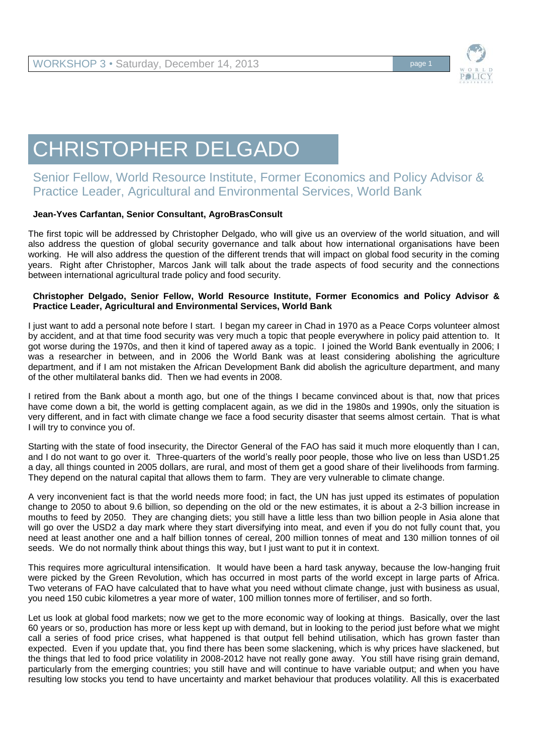

## CHRISTOPHER DELGADO

## Senior Fellow, World Resource Institute, Former Economics and Policy Advisor & Practice Leader, Agricultural and Environmental Services, World Bank

## **Jean-Yves Carfantan, Senior Consultant, AgroBrasConsult**

The first topic will be addressed by Christopher Delgado, who will give us an overview of the world situation, and will also address the question of global security governance and talk about how international organisations have been working. He will also address the question of the different trends that will impact on global food security in the coming years. Right after Christopher, Marcos Jank will talk about the trade aspects of food security and the connections between international agricultural trade policy and food security.

## **Christopher Delgado, Senior Fellow, World Resource Institute, Former Economics and Policy Advisor & Practice Leader, Agricultural and Environmental Services, World Bank**

I just want to add a personal note before I start. I began my career in Chad in 1970 as a Peace Corps volunteer almost by accident, and at that time food security was very much a topic that people everywhere in policy paid attention to. It got worse during the 1970s, and then it kind of tapered away as a topic. I joined the World Bank eventually in 2006; I was a researcher in between, and in 2006 the World Bank was at least considering abolishing the agriculture department, and if I am not mistaken the African Development Bank did abolish the agriculture department, and many of the other multilateral banks did. Then we had events in 2008.

I retired from the Bank about a month ago, but one of the things I became convinced about is that, now that prices have come down a bit, the world is getting complacent again, as we did in the 1980s and 1990s, only the situation is very different, and in fact with climate change we face a food security disaster that seems almost certain. That is what I will try to convince you of.

Starting with the state of food insecurity, the Director General of the FAO has said it much more eloquently than I can, and I do not want to go over it. Three-quarters of the world's really poor people, those who live on less than USD1.25 a day, all things counted in 2005 dollars, are rural, and most of them get a good share of their livelihoods from farming. They depend on the natural capital that allows them to farm. They are very vulnerable to climate change.

A very inconvenient fact is that the world needs more food; in fact, the UN has just upped its estimates of population change to 2050 to about 9.6 billion, so depending on the old or the new estimates, it is about a 2-3 billion increase in mouths to feed by 2050. They are changing diets; you still have a little less than two billion people in Asia alone that will go over the USD2 a day mark where they start diversifying into meat, and even if you do not fully count that, you need at least another one and a half billion tonnes of cereal, 200 million tonnes of meat and 130 million tonnes of oil seeds. We do not normally think about things this way, but I just want to put it in context.

This requires more agricultural intensification. It would have been a hard task anyway, because the low-hanging fruit were picked by the Green Revolution, which has occurred in most parts of the world except in large parts of Africa. Two veterans of FAO have calculated that to have what you need without climate change, just with business as usual, you need 150 cubic kilometres a year more of water, 100 million tonnes more of fertiliser, and so forth.

Let us look at global food markets; now we get to the more economic way of looking at things. Basically, over the last 60 years or so, production has more or less kept up with demand, but in looking to the period just before what we might call a series of food price crises, what happened is that output fell behind utilisation, which has grown faster than expected. Even if you update that, you find there has been some slackening, which is why prices have slackened, but the things that led to food price volatility in 2008-2012 have not really gone away. You still have rising grain demand, particularly from the emerging countries; you still have and will continue to have variable output; and when you have resulting low stocks you tend to have uncertainty and market behaviour that produces volatility. All this is exacerbated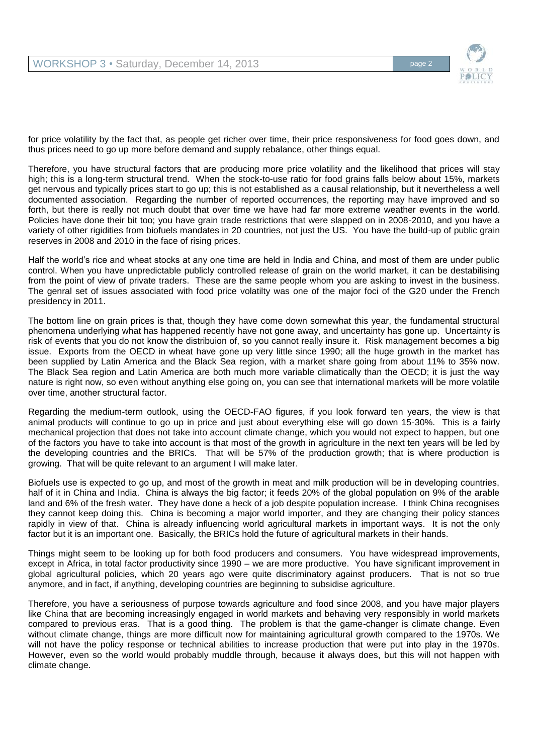

for price volatility by the fact that, as people get richer over time, their price responsiveness for food goes down, and thus prices need to go up more before demand and supply rebalance, other things equal.

Therefore, you have structural factors that are producing more price volatility and the likelihood that prices will stay high; this is a long-term structural trend. When the stock-to-use ratio for food grains falls below about 15%, markets get nervous and typically prices start to go up; this is not established as a causal relationship, but it nevertheless a well documented association. Regarding the number of reported occurrences, the reporting may have improved and so forth, but there is really not much doubt that over time we have had far more extreme weather events in the world. Policies have done their bit too; you have grain trade restrictions that were slapped on in 2008-2010, and you have a variety of other rigidities from biofuels mandates in 20 countries, not just the US. You have the build-up of public grain reserves in 2008 and 2010 in the face of rising prices.

Half the world's rice and wheat stocks at any one time are held in India and China, and most of them are under public control. When you have unpredictable publicly controlled release of grain on the world market, it can be destabilising from the point of view of private traders. These are the same people whom you are asking to invest in the business. The genral set of issues associated with food price volatilty was one of the major foci of the G20 under the French presidency in 2011.

The bottom line on grain prices is that, though they have come down somewhat this year, the fundamental structural phenomena underlying what has happened recently have not gone away, and uncertainty has gone up. Uncertainty is risk of events that you do not know the distribuion of, so you cannot really insure it. Risk management becomes a big issue. Exports from the OECD in wheat have gone up very little since 1990; all the huge growth in the market has been supplied by Latin America and the Black Sea region, with a market share going from about 11% to 35% now. The Black Sea region and Latin America are both much more variable climatically than the OECD; it is just the way nature is right now, so even without anything else going on, you can see that international markets will be more volatile over time, another structural factor.

Regarding the medium-term outlook, using the OECD-FAO figures, if you look forward ten years, the view is that animal products will continue to go up in price and just about everything else will go down 15-30%. This is a fairly mechanical projection that does not take into account climate change, which you would not expect to happen, but one of the factors you have to take into account is that most of the growth in agriculture in the next ten years will be led by the developing countries and the BRICs. That will be 57% of the production growth; that is where production is growing. That will be quite relevant to an argument I will make later.

Biofuels use is expected to go up, and most of the growth in meat and milk production will be in developing countries, half of it in China and India. China is always the big factor; it feeds 20% of the global population on 9% of the arable land and 6% of the fresh water. They have done a heck of a job despite population increase. I think China recognises they cannot keep doing this. China is becoming a major world importer, and they are changing their policy stances rapidly in view of that. China is already influencing world agricultural markets in important ways. It is not the only factor but it is an important one. Basically, the BRICs hold the future of agricultural markets in their hands.

Things might seem to be looking up for both food producers and consumers. You have widespread improvements, except in Africa, in total factor productivity since 1990 – we are more productive. You have significant improvement in global agricultural policies, which 20 years ago were quite discriminatory against producers. That is not so true anymore, and in fact, if anything, developing countries are beginning to subsidise agriculture.

Therefore, you have a seriousness of purpose towards agriculture and food since 2008, and you have major players like China that are becoming increasingly engaged in world markets and behaving very responsibly in world markets compared to previous eras. That is a good thing. The problem is that the game-changer is climate change. Even without climate change, things are more difficult now for maintaining agricultural growth compared to the 1970s. We will not have the policy response or technical abilities to increase production that were put into play in the 1970s. However, even so the world would probably muddle through, because it always does, but this will not happen with climate change.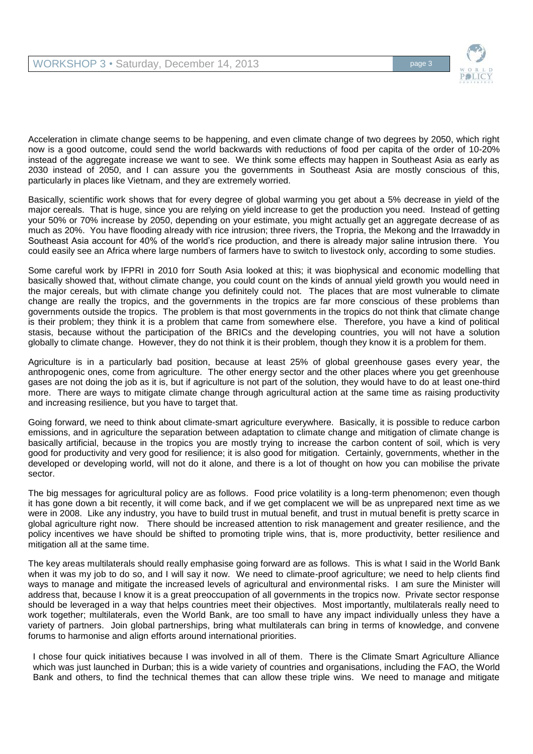

Acceleration in climate change seems to be happening, and even climate change of two degrees by 2050, which right now is a good outcome, could send the world backwards with reductions of food per capita of the order of 10-20% instead of the aggregate increase we want to see. We think some effects may happen in Southeast Asia as early as 2030 instead of 2050, and I can assure you the governments in Southeast Asia are mostly conscious of this, particularly in places like Vietnam, and they are extremely worried.

Basically, scientific work shows that for every degree of global warming you get about a 5% decrease in yield of the major cereals. That is huge, since you are relying on yield increase to get the production you need. Instead of getting your 50% or 70% increase by 2050, depending on your estimate, you might actually get an aggregate decrease of as much as 20%. You have flooding already with rice intrusion; three rivers, the Tropria, the Mekong and the Irrawaddy in Southeast Asia account for 40% of the world's rice production, and there is already major saline intrusion there. You could easily see an Africa where large numbers of farmers have to switch to livestock only, according to some studies.

Some careful work by IFPRI in 2010 forr South Asia looked at this; it was biophysical and economic modelling that basically showed that, without climate change, you could count on the kinds of annual yield growth you would need in the major cereals, but with climate change you definitely could not. The places that are most vulnerable to climate change are really the tropics, and the governments in the tropics are far more conscious of these problems than governments outside the tropics. The problem is that most governments in the tropics do not think that climate change is their problem; they think it is a problem that came from somewhere else. Therefore, you have a kind of political stasis, because without the participation of the BRICs and the developing countries, you will not have a solution globally to climate change. However, they do not think it is their problem, though they know it is a problem for them.

Agriculture is in a particularly bad position, because at least 25% of global greenhouse gases every year, the anthropogenic ones, come from agriculture. The other energy sector and the other places where you get greenhouse gases are not doing the job as it is, but if agriculture is not part of the solution, they would have to do at least one-third more. There are ways to mitigate climate change through agricultural action at the same time as raising productivity and increasing resilience, but you have to target that.

Going forward, we need to think about climate-smart agriculture everywhere. Basically, it is possible to reduce carbon emissions, and in agriculture the separation between adaptation to climate change and mitigation of climate change is basically artificial, because in the tropics you are mostly trying to increase the carbon content of soil, which is very good for productivity and very good for resilience; it is also good for mitigation. Certainly, governments, whether in the developed or developing world, will not do it alone, and there is a lot of thought on how you can mobilise the private sector.

The big messages for agricultural policy are as follows. Food price volatility is a long-term phenomenon; even though it has gone down a bit recently, it will come back, and if we get complacent we will be as unprepared next time as we were in 2008. Like any industry, you have to build trust in mutual benefit, and trust in mutual benefit is pretty scarce in global agriculture right now. There should be increased attention to risk management and greater resilience, and the policy incentives we have should be shifted to promoting triple wins, that is, more productivity, better resilience and mitigation all at the same time.

The key areas multilaterals should really emphasise going forward are as follows. This is what I said in the World Bank when it was my job to do so, and I will say it now. We need to climate-proof agriculture; we need to help clients find ways to manage and mitigate the increased levels of agricultural and environmental risks. I am sure the Minister will address that, because I know it is a great preoccupation of all governments in the tropics now. Private sector response should be leveraged in a way that helps countries meet their objectives. Most importantly, multilaterals really need to work together; multilaterals, even the World Bank, are too small to have any impact individually unless they have a variety of partners. Join global partnerships, bring what multilaterals can bring in terms of knowledge, and convene forums to harmonise and align efforts around international priorities.

I chose four quick initiatives because I was involved in all of them. There is the Climate Smart Agriculture Alliance which was just launched in Durban; this is a wide variety of countries and organisations, including the FAO, the World Bank and others, to find the technical themes that can allow these triple wins. We need to manage and mitigate